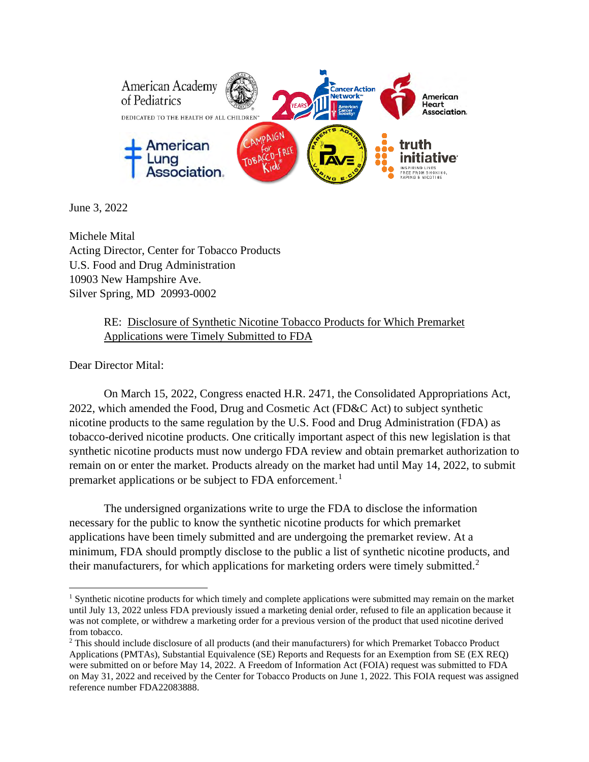

June 3, 2022

Michele Mital Acting Director, Center for Tobacco Products U.S. Food and Drug Administration 10903 New Hampshire Ave. Silver Spring, MD 20993-0002

> RE: Disclosure of Synthetic Nicotine Tobacco Products for Which Premarket Applications were Timely Submitted to FDA

Dear Director Mital:

On March 15, 2022, Congress enacted H.R. 2471, the Consolidated Appropriations Act, 2022, which amended the Food, Drug and Cosmetic Act (FD&C Act) to subject synthetic nicotine products to the same regulation by the U.S. Food and Drug Administration (FDA) as tobacco-derived nicotine products. One critically important aspect of this new legislation is that synthetic nicotine products must now undergo FDA review and obtain premarket authorization to remain on or enter the market. Products already on the market had until May 14, 2022, to submit premarket applications or be subject to FDA enforcement.<sup>[1](#page-0-0)</sup>

The undersigned organizations write to urge the FDA to disclose the information necessary for the public to know the synthetic nicotine products for which premarket applications have been timely submitted and are undergoing the premarket review. At a minimum, FDA should promptly disclose to the public a list of synthetic nicotine products, and their manufacturers, for which applications for marketing orders were timely submitted.<sup>[2](#page-0-1)</sup>

<span id="page-0-0"></span><sup>&</sup>lt;sup>1</sup> Synthetic nicotine products for which timely and complete applications were submitted may remain on the market until July 13, 2022 unless FDA previously issued a marketing denial order, refused to file an application because it was not complete, or withdrew a marketing order for a previous version of the product that used nicotine derived from tobacco.<br><sup>2</sup> This should include disclosure of all products (and their manufacturers) for which Premarket Tobacco Product

<span id="page-0-1"></span>Applications (PMTAs), Substantial Equivalence (SE) Reports and Requests for an Exemption from SE (EX REQ) were submitted on or before May 14, 2022. A Freedom of Information Act (FOIA) request was submitted to FDA on May 31, 2022 and received by the Center for Tobacco Products on June 1, 2022. This FOIA request was assigned reference number FDA22083888.